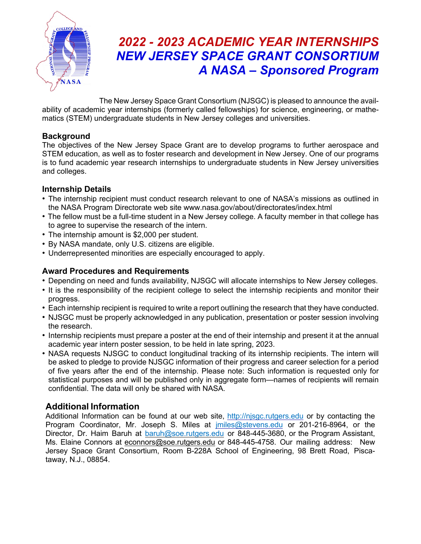

# *2022 - 2023 ACADEMIC YEAR INTERNSHIPS NEW JERSEY SPACE GRANT CONSORTIUM A NASA –*!*Sponsored Program*

The New Jersey Space Grant Consortium (NJSGC) is pleased to announce the availability of academic year internships (formerly called fellowships) for science, engineering, or mathematics (STEM) undergraduate students in New Jersey colleges and universities.

#### **Background**

The objectives of the New Jersey Space Grant are to develop programs to further aerospace and STEM education, as well as to foster research and development in New Jersey. One of our programs is to fund academic year research internships to undergraduate students in New Jersey universities and colleges.

## **Internship Details**

- The internship recipient must conduct research relevant to one of NASA's missions as outlined in the NASA Program Directorate web site www.nasa.gov/about/directorates/index.html
- The fellow must be a full-time student in a New Jersey college. A faculty member in that college has to agree to supervise the research of the intern.
- The internship amount is \$2,000 per student.
- By NASA mandate, only U.S. citizens are eligible.
- Underrepresented minorities are especially encouraged to apply.

#### **Award Procedures and Requirements**

- Depending on need and funds availability, NJSGC will allocate internships to New Jersey colleges.
- It is the responsibility of the recipient college to select the internship recipients and monitor their progress.
- Each internship recipient is required to write a report outlining the research that they have conducted.
- NJSGC must be properly acknowledged in any publication, presentation or poster session involving the research.
- Internship recipients must prepare a poster at the end of their internship and present it at the annual academic year intern poster session, to be held in late spring, 2023.
- NASA requests NJSGC to conduct longitudinal tracking of its internship recipients. The intern will be asked to pledge to provide NJSGC information of their progress and career selection for a period of five years after the end of the internship. Please note: Such information is requested only for statistical purposes and will be published only in aggregate form—names of recipients will remain confidential. The data will only be shared with NASA.

## **Additional Information**

Additional Information can be found at our web site, http://njsgc.rutgers.edu or by contacting the Program Coordinator, Mr. Joseph S. Miles at *imiles@stevens.edu* or 201-216-8964, or the Director, Dr. Haim Baruh at baruh@soe.rutgers.edu or 848-445-3680, or the Program Assistant, Ms. Elaine Connors at econnors@soe.rutgers.edu or 848-445-4758. Our mailing address: New Jersey Space Grant Consortium, Room B-228A School of Engineering, 98 Brett Road, Piscataway, N.J., 08854.